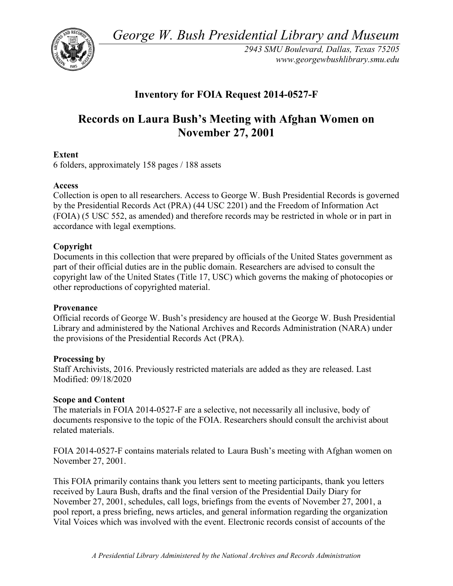*George W. Bush Presidential Library and Museum* 



 *2943 SMU Boulevard, Dallas, Texas 75205 <www.georgewbushlibrary.smu.edu>*

## **Inventory for FOIA Request 2014-0527-F**

# **Records on Laura Bush's Meeting with Afghan Women on November 27, 2001**

#### **Extent**

6 folders, approximately 158 pages / 188 assets

#### **Access**

 by the Presidential Records Act (PRA) (44 USC 2201) and the Freedom of Information Act Collection is open to all researchers. Access to George W. Bush Presidential Records is governed (FOIA) (5 USC 552, as amended) and therefore records may be restricted in whole or in part in accordance with legal exemptions.

#### **Copyright**

 Documents in this collection that were prepared by officials of the United States government as part of their official duties are in the public domain. Researchers are advised to consult the copyright law of the United States (Title 17, USC) which governs the making of photocopies or other reproductions of copyrighted material.

#### **Provenance**

 Official records of George W. Bush's presidency are housed at the George W. Bush Presidential Library and administered by the National Archives and Records Administration (NARA) under the provisions of the Presidential Records Act (PRA).

#### **Processing by**

 Modified: 09/18/2020 Staff Archivists, 2016. Previously restricted materials are added as they are released. Last

#### **Scope and Content**

The materials in FOIA 2014-0527-F are a selective, not necessarily all inclusive, body of documents responsive to the topic of the FOIA. Researchers should consult the archivist about related materials.

FOIA 2014-0527-F contains materials related to Laura Bush's meeting with Afghan women on November 27, 2001.

 This FOIA primarily contains thank you letters sent to meeting participants, thank you letters received by Laura Bush, drafts and the final version of the Presidential Daily Diary for Vital Voices which was involved with the event. Electronic records consist of accounts of the November 27, 2001, schedules, call logs, briefings from the events of November 27, 2001, a pool report, a press briefing, news articles, and general information regarding the organization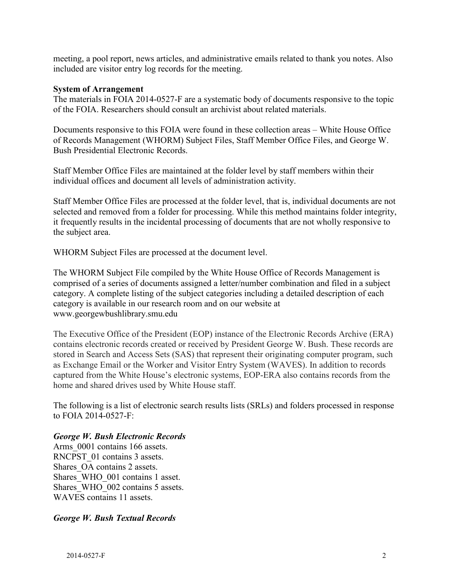meeting, a pool report, news articles, and administrative emails related to thank you notes. Also included are visitor entry log records for the meeting.

#### **System of Arrangement**

The materials in FOIA 2014-0527-F are a systematic body of documents responsive to the topic of the FOIA. Researchers should consult an archivist about related materials.

Documents responsive to this FOIA were found in these collection areas – White House Office of Records Management (WHORM) Subject Files, Staff Member Office Files, and George W. Bush Presidential Electronic Records.

individual offices and document all levels of administration activity. Staff Member Office Files are maintained at the folder level by staff members within their

Staff Member Office Files are processed at the folder level, that is, individual documents are not selected and removed from a folder for processing. While this method maintains folder integrity, it frequently results in the incidental processing of documents that are not wholly responsive to the subject area.

WHORM Subject Files are processed at the document level.

The WHORM Subject File compiled by the White House Office of Records Management is comprised of a series of documents assigned a letter/number combination and filed in a subject category. A complete listing of the subject categories including a detailed description of each category is available in our research room and on our website at <www.georgewbushlibrary.smu.edu>

The Executive Office of the President (EOP) instance of the Electronic Records Archive (ERA) contains electronic records created or received by President George W. Bush. These records are stored in Search and Access Sets (SAS) that represent their originating computer program, such as Exchange Email or the Worker and Visitor Entry System (WAVES). In addition to records captured from the White House's electronic systems, EOP-ERA also contains records from the home and shared drives used by White House staff.

 The following is a list of electronic search results lists (SRLs) and folders processed in response to FOIA 2014-0527-F:

#### *George W. Bush Electronic Records*

Arms  $0001$  contains 166 assets. RNCPST 01 contains 3 assets. Shares OA contains 2 assets. Shares WHO 001 contains 1 asset. Shares WHO 002 contains 5 assets. WAVES contains 11 assets.

#### *George W. Bush Textual Records*